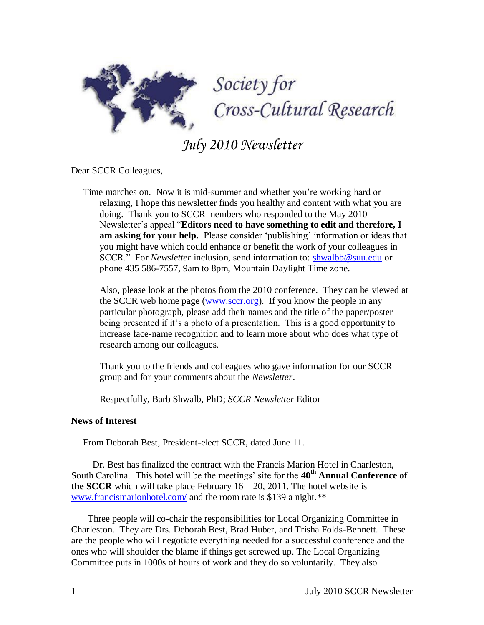

*July 2010 Newsletter*

Dear SCCR Colleagues,

 Time marches on. Now it is mid-summer and whether you"re working hard or relaxing, I hope this newsletter finds you healthy and content with what you are doing. Thank you to SCCR members who responded to the May 2010 Newsletter"s appeal "**Editors need to have something to edit and therefore, I**  am asking for your help. Please consider 'publishing' information or ideas that you might have which could enhance or benefit the work of your colleagues in SCCR." For *Newsletter* inclusion, send information to: [shwalbb@suu.edu](http://www.shwalbb@suu.edu/) or phone 435 586-7557, 9am to 8pm, Mountain Daylight Time zone.

 Also, please look at the photos from the 2010 conference. They can be viewed at the SCCR web home page [\(www.sccr.org\)](http://www.sccr.org/). If you know the people in any particular photograph, please add their names and the title of the paper/poster being presented if it's a photo of a presentation. This is a good opportunity to increase face-name recognition and to learn more about who does what type of research among our colleagues.

 Thank you to the friends and colleagues who gave information for our SCCR group and for your comments about the *Newsletter*.

Respectfully, Barb Shwalb, PhD; *SCCR Newsletter* Editor

# **News of Interest**

From Deborah Best, President-elect SCCR, dated June 11.

 Dr. Best has finalized the contract with the Francis Marion Hotel in Charleston, South Carolina. This hotel will be the meetings" site for the **40th Annual Conference of the SCCR** which will take place February  $16 - 20$ , 2011. The hotel website is [www.francismarionhotel.com/](http://www.francismarionhotel.com/) and the room rate is \$139 a night.\*\*

 Three people will co-chair the responsibilities for Local Organizing Committee in Charleston. They are Drs. Deborah Best, Brad Huber, and Trisha Folds-Bennett. These are the people who will negotiate everything needed for a successful conference and the ones who will shoulder the blame if things get screwed up. The Local Organizing Committee puts in 1000s of hours of work and they do so voluntarily. They also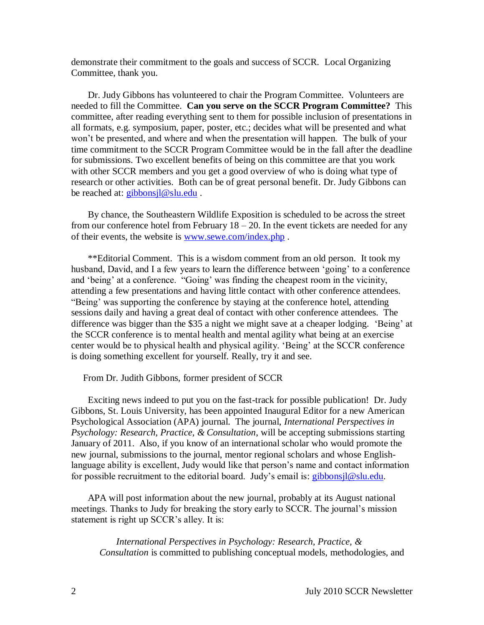demonstrate their commitment to the goals and success of SCCR. Local Organizing Committee, thank you.

 Dr. Judy Gibbons has volunteered to chair the Program Committee. Volunteers are needed to fill the Committee. **Can you serve on the SCCR Program Committee?** This committee, after reading everything sent to them for possible inclusion of presentations in all formats, e.g. symposium, paper, poster, etc.; decides what will be presented and what won"t be presented, and where and when the presentation will happen. The bulk of your time commitment to the SCCR Program Committee would be in the fall after the deadline for submissions. Two excellent benefits of being on this committee are that you work with other SCCR members and you get a good overview of who is doing what type of research or other activities. Both can be of great personal benefit. Dr. Judy Gibbons can be reached at: *gibbonsjl@slu.edu*.

 By chance, the Southeastern Wildlife Exposition is scheduled to be across the street from our conference hotel from February  $18 - 20$ . In the event tickets are needed for any of their events, the website is [www.sewe.com/index.php](http://www.sewe.com/index.php) .

 \*\*Editorial Comment. This is a wisdom comment from an old person. It took my husband, David, and I a few years to learn the difference between "going" to a conference and "being" at a conference. "Going" was finding the cheapest room in the vicinity, attending a few presentations and having little contact with other conference attendees. "Being" was supporting the conference by staying at the conference hotel, attending sessions daily and having a great deal of contact with other conference attendees. The difference was bigger than the \$35 a night we might save at a cheaper lodging. "Being" at the SCCR conference is to mental health and mental agility what being at an exercise center would be to physical health and physical agility. "Being" at the SCCR conference is doing something excellent for yourself. Really, try it and see.

From Dr. Judith Gibbons, former president of SCCR

 Exciting news indeed to put you on the fast-track for possible publication! Dr. Judy Gibbons, St. Louis University, has been appointed Inaugural Editor for a new American Psychological Association (APA) journal. The journal, *International Perspectives in Psychology: Research, Practice, & Consultation*, will be accepting submissions starting January of 2011. Also, if you know of an international scholar who would promote the new journal, submissions to the journal, mentor regional scholars and whose Englishlanguage ability is excellent, Judy would like that person's name and contact information for possible recruitment to the editorial board. Judy's email is: [gibbonsjl@slu.edu.](mailto:gibbonsjl@slu.edu)

 APA will post information about the new journal, probably at its August national meetings. Thanks to Judy for breaking the story early to SCCR. The journal"s mission statement is right up SCCR"s alley. It is:

 *International Perspectives in Psychology: Research, Practice, & Consultation* is committed to publishing conceptual models, methodologies, and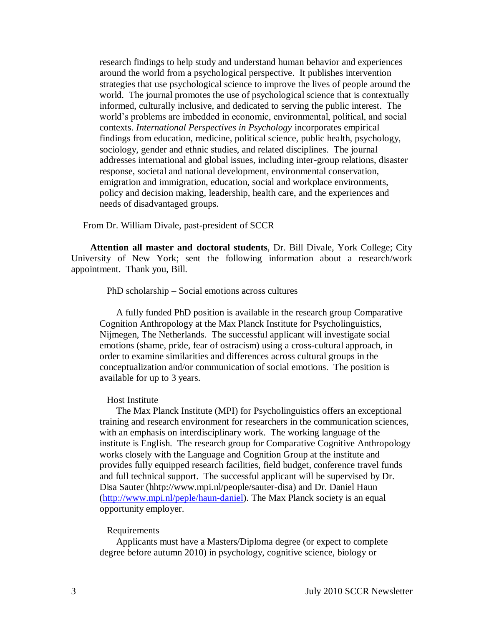research findings to help study and understand human behavior and experiences around the world from a psychological perspective. It publishes intervention strategies that use psychological science to improve the lives of people around the world. The journal promotes the use of psychological science that is contextually informed, culturally inclusive, and dedicated to serving the public interest. The world"s problems are imbedded in economic, environmental, political, and social contexts. *International Perspectives in Psychology* incorporates empirical findings from education, medicine, political science, public health, psychology, sociology, gender and ethnic studies, and related disciplines. The journal addresses international and global issues, including inter-group relations, disaster response, societal and national development, environmental conservation, emigration and immigration, education, social and workplace environments, policy and decision making, leadership, health care, and the experiences and needs of disadvantaged groups.

From Dr. William Divale, past-president of SCCR

 **Attention all master and doctoral students**, Dr. Bill Divale, York College; City University of New York; sent the following information about a research/work appointment. Thank you, Bill.

PhD scholarship – Social emotions across cultures

 A fully funded PhD position is available in the research group Comparative Cognition Anthropology at the Max Planck Institute for Psycholinguistics, Nijmegen, The Netherlands. The successful applicant will investigate social emotions (shame, pride, fear of ostracism) using a cross-cultural approach, in order to examine similarities and differences across cultural groups in the conceptualization and/or communication of social emotions. The position is available for up to 3 years.

### Host Institute

 The Max Planck Institute (MPI) for Psycholinguistics offers an exceptional training and research environment for researchers in the communication sciences, with an emphasis on interdisciplinary work. The working language of the institute is English. The research group for Comparative Cognitive Anthropology works closely with the Language and Cognition Group at the institute and provides fully equipped research facilities, field budget, conference travel funds and full technical support. The successful applicant will be supervised by Dr. Disa Sauter (hhtp://www.mpi.nl/people/sauter-disa) and Dr. Daniel Haun [\(http://www.mpi.nl/peple/haun-daniel\)](http://www.mpi.nl/peple/haun-daniel). The Max Planck society is an equal opportunity employer.

# Requirements

 Applicants must have a Masters/Diploma degree (or expect to complete degree before autumn 2010) in psychology, cognitive science, biology or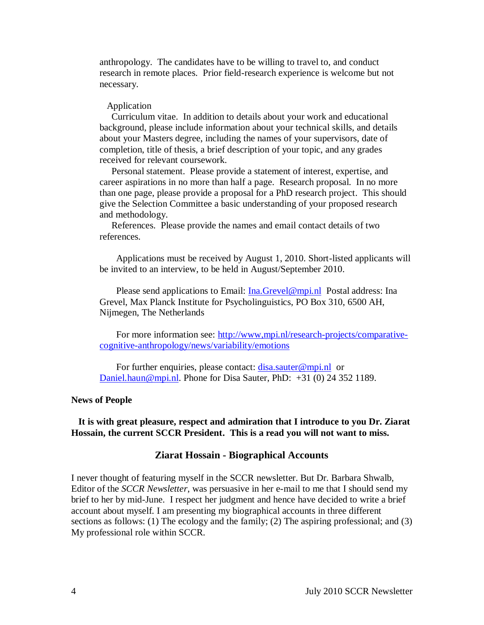anthropology. The candidates have to be willing to travel to, and conduct research in remote places. Prior field-research experience is welcome but not necessary.

### Application

 Curriculum vitae. In addition to details about your work and educational background, please include information about your technical skills, and details about your Masters degree, including the names of your supervisors, date of completion, title of thesis, a brief description of your topic, and any grades received for relevant coursework.

 Personal statement. Please provide a statement of interest, expertise, and career aspirations in no more than half a page. Research proposal. In no more than one page, please provide a proposal for a PhD research project. This should give the Selection Committee a basic understanding of your proposed research and methodology.

 References. Please provide the names and email contact details of two references.

 Applications must be received by August 1, 2010. Short-listed applicants will be invited to an interview, to be held in August/September 2010.

Please send applications to Email: [Ina.Grevel@mpi.nl](mailto:Ina.Grevel@mpi.nl) Postal address: Ina Grevel, Max Planck Institute for Psycholinguistics, PO Box 310, 6500 AH, Nijmegen, The Netherlands

 For more information see: [http://www,mpi.nl/research-projects/comparative](http://www,mpi.nl/research-projects/comparative-cognitive-anthropology/news/variabi;ity/emotions)[cognitive-anthropology/news/variability/emotions](http://www,mpi.nl/research-projects/comparative-cognitive-anthropology/news/variabi;ity/emotions)

For further enquiries, please contact: *disa.sauter@mpi.nl* or [Daniel.haun@mpi.nl.](mailto:Daniel.haun@mpi.nl) Phone for Disa Sauter, PhD: +31 (0) 24 352 1189.

### **News of People**

 **It is with great pleasure, respect and admiration that I introduce to you Dr. Ziarat Hossain, the current SCCR President. This is a read you will not want to miss.**

# **Ziarat Hossain - Biographical Accounts**

I never thought of featuring myself in the SCCR newsletter. But Dr. Barbara Shwalb, Editor of the *SCCR Newsletter*, was persuasive in her e-mail to me that I should send my brief to her by mid-June. I respect her judgment and hence have decided to write a brief account about myself. I am presenting my biographical accounts in three different sections as follows: (1) The ecology and the family; (2) The aspiring professional; and (3) My professional role within SCCR.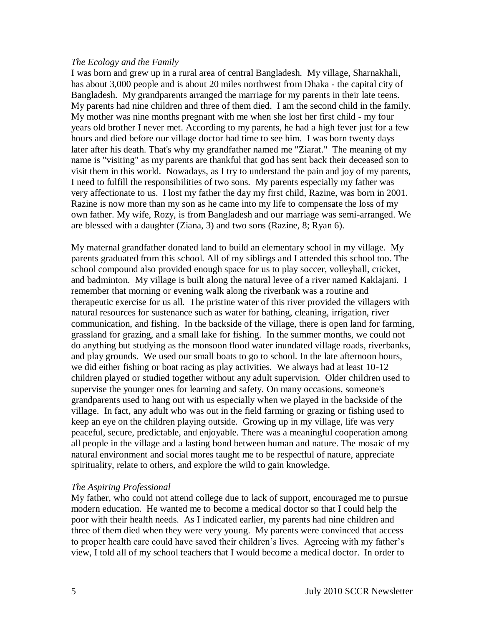### *The Ecology and the Family*

I was born and grew up in a rural area of central Bangladesh. My village, Sharnakhali, has about 3,000 people and is about 20 miles northwest from Dhaka - the capital city of Bangladesh. My grandparents arranged the marriage for my parents in their late teens. My parents had nine children and three of them died. I am the second child in the family. My mother was nine months pregnant with me when she lost her first child - my four years old brother I never met. According to my parents, he had a high fever just for a few hours and died before our village doctor had time to see him. I was born twenty days later after his death. That's why my grandfather named me "Ziarat." The meaning of my name is "visiting" as my parents are thankful that god has sent back their deceased son to visit them in this world. Nowadays, as I try to understand the pain and joy of my parents, I need to fulfill the responsibilities of two sons. My parents especially my father was very affectionate to us. I lost my father the day my first child, Razine, was born in 2001. Razine is now more than my son as he came into my life to compensate the loss of my own father. My wife, Rozy, is from Bangladesh and our marriage was semi-arranged. We are blessed with a daughter (Ziana, 3) and two sons (Razine, 8; Ryan 6).

My maternal grandfather donated land to build an elementary school in my village. My parents graduated from this school. All of my siblings and I attended this school too. The school compound also provided enough space for us to play soccer, volleyball, cricket, and badminton. My village is built along the natural levee of a river named Kaklajani. I remember that morning or evening walk along the riverbank was a routine and therapeutic exercise for us all. The pristine water of this river provided the villagers with natural resources for sustenance such as water for bathing, cleaning, irrigation, river communication, and fishing. In the backside of the village, there is open land for farming, grassland for grazing, and a small lake for fishing. In the summer months, we could not do anything but studying as the monsoon flood water inundated village roads, riverbanks, and play grounds. We used our small boats to go to school. In the late afternoon hours, we did either fishing or boat racing as play activities. We always had at least 10-12 children played or studied together without any adult supervision. Older children used to supervise the younger ones for learning and safety. On many occasions, someone's grandparents used to hang out with us especially when we played in the backside of the village. In fact, any adult who was out in the field farming or grazing or fishing used to keep an eye on the children playing outside. Growing up in my village, life was very peaceful, secure, predictable, and enjoyable. There was a meaningful cooperation among all people in the village and a lasting bond between human and nature. The mosaic of my natural environment and social mores taught me to be respectful of nature, appreciate spirituality, relate to others, and explore the wild to gain knowledge.

# *The Aspiring Professional*

My father, who could not attend college due to lack of support, encouraged me to pursue modern education. He wanted me to become a medical doctor so that I could help the poor with their health needs. As I indicated earlier, my parents had nine children and three of them died when they were very young. My parents were convinced that access to proper health care could have saved their children's lives. Agreeing with my father's view, I told all of my school teachers that I would become a medical doctor. In order to